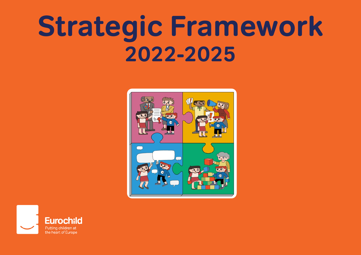# **Strategic Framework 2022-2025**



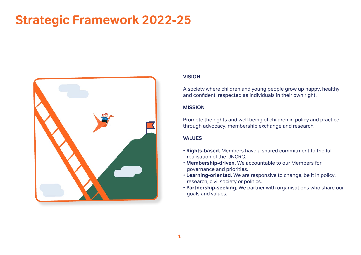# **Strategic Framework 2022-25**



#### **VISION**

A society where children and young people grow up happy, healthy and confident, respected as individuals in their own right.

#### **MISSION**

Promote the rights and well-being of children in policy and practice through advocacy, membership exchange and research.

#### **VALUES**

- **Rights-based.** Members have a shared commitment to the full realisation of the UNCRC.
- **Membership-driven.** We accountable to our Members for governance and priorities.
- **Learning-oriented.** We are responsive to change, be it in policy, research, civil society or politics.
- **Partnership-seeking.** We partner with organisations who share our goals and values.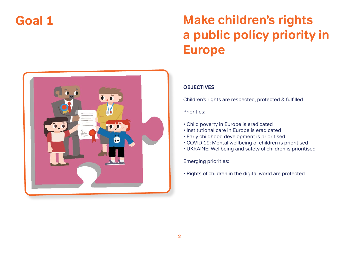# **Make children's rights a public policy priority in Europe**



Children's rights are respected, protected & fulfilled

#### Priorities:

- Child poverty in Europe is eradicated
- Institutional care in Europe is eradicated
- Early childhood development is prioritised
- COVID 19: Mental wellbeing of children is prioritised
- UKRAINE: Wellbeing and safety of children is prioritised

Emerging priorities:

• Rights of children in the digital world are protected

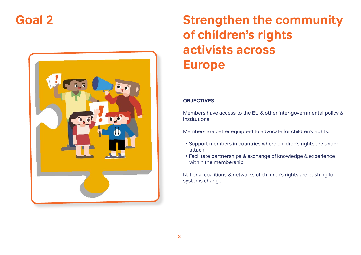

# **Strengthen the community of children's rights activists across Europe**

#### **OBJECTIVES**

Members have access to the EU & other inter-governmental policy & institutions

Members are better equipped to advocate for children's rights.

- Support members in countries where children's rights are under attack
- Facilitate partnerships & exchange of knowledge & experience within the membership

National coalitions & networks of children's rights are pushing for systems change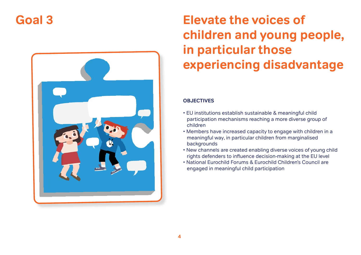

# **Elevate the voices of children and young people, in particular those experiencing disadvantage**

#### **OBJECTIVES**

- EU institutions establish sustainable & meaningful child participation mechanisms reaching a more diverse group of children
- Members have increased capacity to engage with children in a meaningful way, in particular children from marginalised backgrounds
- New channels are created enabling diverse voices of young child rights defenders to influence decision-making at the EU level
- National Eurochild Forums & Eurochild Children's Council are engaged in meaningful child participation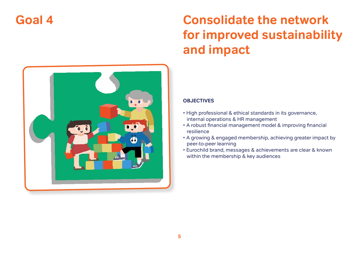# **Consolidate the network for improved sustainability and impact**



#### **OBJECTIVES**

- High professional & ethical standards in its governance, internal operations & HR management
- A robust financial management model & improving financial resilience
- A growing & engaged membership, achieving greater impact by peer-to-peer learning
- Eurochild brand, messages & achievements are clear & known within the membership & key audiences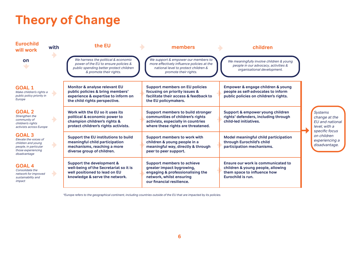# **Theory of Change**

| <b>Eurochild</b><br>will work                                                                                               | with          | the EU                                                                                                                                               | members                                                                                                                                                     | children                                                                                                                    |                                                                                                                                         |
|-----------------------------------------------------------------------------------------------------------------------------|---------------|------------------------------------------------------------------------------------------------------------------------------------------------------|-------------------------------------------------------------------------------------------------------------------------------------------------------------|-----------------------------------------------------------------------------------------------------------------------------|-----------------------------------------------------------------------------------------------------------------------------------------|
| on<br>$\overline{\phantom{a}}$                                                                                              |               | We harness the political & economic<br>power of the EU to ensure policies &<br>public spending better protect children<br>& promote their rights.    | We support & empower our members to<br>more effectively influence policies at the<br>national level to protect children &<br>promote their rights.          | We meaningfully involve children & young<br>people in our advocacy, activities &<br>organisational development.             |                                                                                                                                         |
| <b>GOAL 1</b><br>Make children's rights a<br>public policy priority in<br>Europe                                            |               | <b>Monitor &amp; analyse relevant EU</b><br>public policies & bring members'<br>experience & expertise to inform on<br>the child rights perspective. | <b>Support members on EU policies</b><br>focusing on priority issues &<br>facilitate their access & feedback to<br>the EU policymakers.                     | Empower & engage children & young<br>people as self-advocates to inform<br>public policies on children's rights.            | <b>Systems</b><br>change at the<br>EU and national<br>level, with a<br>specific focus<br>on children<br>experiencing a<br>disadvantage. |
| <b>GOAL 2</b><br>Strengthen the<br>community of<br>children's rights<br>activists across Europe                             |               | Work with the EU so it uses its<br>political & economic power to<br>champion children's rights &<br>protect children's rights activists.             | <b>Support members to build stronger</b><br>communities of children's rights<br>activists, especially in countries<br>where these rights are threatened.    | Support & empower young children<br>rights' defenders, including through<br>child-led initiatives.                          |                                                                                                                                         |
| <b>GOAL 3</b><br>Elevate the voices of<br>children and young<br>people, in particular<br>those experiencing<br>disadvantage |               | Support the EU institutions to build<br>meaningful child participation<br>mechanisms, reaching a more<br>diverse group of children.                  | <b>Support members to work with</b><br>children & young people in a<br>meaningful way, directly & through<br>peer to peer support.                          | Model meaningful child participation<br>through Eurochild's child<br>participation mechanisms.                              |                                                                                                                                         |
| <b>GOAL 4</b><br>Consolidate the<br>network for improved<br>sustainability and<br>impact                                    | $\rightarrow$ | Support the development &<br>well-being of the Secretariat so it is<br>well positioned to lead on EU<br>knowledge & serve the network.               | <b>Support members to achieve</b><br>greater impact bygrowing,<br>engaging & professionalising the<br>network, whilst ensuring<br>our financial resilience. | Ensure our work is communicated to<br>children & young people, allowing<br>them space to influence how<br>Eurochild is run. |                                                                                                                                         |

\*Europe refers to the geographical continent, including countries outside of the EU that are impacted by its policies.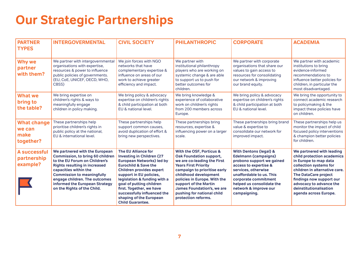# **Our Strategic Partnerships**

| <b>PARTNER</b><br><b>TYPES</b>                    | <b>INTERGOVERMENTAL</b>                                                                                                                                                                                                                                                                                            | <b>CIVIL SOCIETY</b>                                                                                                                                                                                                                                                                                                                                                      | <b>PHILANTHROPIC</b>                                                                                                                                                                                                                                                                                                          | <b>CORPORATE</b>                                                                                                                                                                                                                                                        | <b>ACADEMIA</b>                                                                                                                                                                                                                                                                      |
|---------------------------------------------------|--------------------------------------------------------------------------------------------------------------------------------------------------------------------------------------------------------------------------------------------------------------------------------------------------------------------|---------------------------------------------------------------------------------------------------------------------------------------------------------------------------------------------------------------------------------------------------------------------------------------------------------------------------------------------------------------------------|-------------------------------------------------------------------------------------------------------------------------------------------------------------------------------------------------------------------------------------------------------------------------------------------------------------------------------|-------------------------------------------------------------------------------------------------------------------------------------------------------------------------------------------------------------------------------------------------------------------------|--------------------------------------------------------------------------------------------------------------------------------------------------------------------------------------------------------------------------------------------------------------------------------------|
| Why we<br>partner<br>with them?                   | We partner with intergovernmental<br>organisations with expertise,<br>resources & power to influence<br>public policies of governments.<br>(EU, CoE, UNICEF, OECD, WHO,<br>CBSS)                                                                                                                                   | We join forces with NGO<br>networks that have<br>complementary expertise &<br>influence on areas of our<br>work to achieve greater<br>efficiency and impact.                                                                                                                                                                                                              | We partner with<br>institutional philanthropy<br>players who are working on<br>systemic change & are able<br>to support us to push for<br>better outcomes for<br>children.                                                                                                                                                    | We partner with corporate<br>organisations that share our<br>values to gain access to<br>resources for consolidating<br>our network & improving<br>our brand equity.                                                                                                    | We partner with academic<br>institutions to bring<br>evidence-informed<br>recommendations to<br>influence better policies for<br>children, in particular the<br>most disadvantaged.                                                                                                  |
| <b>What we</b><br>bring to<br>the table?          | We bring expertise on<br>children's rights & ways to<br>meaningfully engage<br>children in policy making.                                                                                                                                                                                                          | We bring policy & advocacy<br>expertise on children's rights<br>& child participation at both<br>EU & national level.                                                                                                                                                                                                                                                     | We bring knowledge &<br>experience of collaborative<br>work on children's rights<br>from 200 members across<br>Europe.                                                                                                                                                                                                        | We bring policy & advocacy<br>expertise on children's rights<br>& child participation at both<br>EU & national level.                                                                                                                                                   | We bring the opportunity to<br>connect academic research<br>to policymaking & the<br>impact these policies have<br>on children.                                                                                                                                                      |
| <b>What change</b><br>we can<br>make<br>together? | These partnerships help<br>prioritise children's rights in<br>public policy at the national,<br>EU & international level.                                                                                                                                                                                          | These partnerships help<br>support common causes,<br>avoid duplication of effort &<br>bring new perspectives.                                                                                                                                                                                                                                                             | These partnerships bring<br>resources, expertise &<br>influencing power on a larger<br>scale.                                                                                                                                                                                                                                 | These partnerships bring brand<br>value & expertise to<br>consolidate our network for<br>improved impact.                                                                                                                                                               | These partnerships help us<br>monitor the impact of child<br>focused policy interventions<br>& champion better policies<br>for children.                                                                                                                                             |
| <b>A successful</b><br>partnership<br>example?    | We partnered with the European<br><b>Commission, to bring 60 children</b><br>to the EU Forum on Children's<br><b>Rights resulting in increased</b><br>capacities within the<br><b>Commission to meaningfully</b><br>engage children. The outcomes<br>informed the European Strategy<br>on the Rights of the Child. | The EU Alliance for<br><b>Investing in Children (27</b><br><b>European Networks) led by</b><br><b>Eurochild &amp; Save the</b><br><b>Children provides expert</b><br>support in EU policies,<br>legislation & funding with a<br>goal of putting children<br>first. Together, we have<br>successfully influenced the<br>shaping of the European<br><b>Child Guarantee.</b> | With the OSF, Porticus &<br><b>Oak Foundation support,</b><br>we are co-leading the First<br><b>Years First Priority</b><br>campaign to prioritise early<br>childhood development<br>policies in Europe. With the<br>support of the Martin<br>James Foundation's, we are<br>pushing for national child<br>protection reforms. | <b>With Dentons (legal) &amp;</b><br><b>Edelmann (campaigns)</b><br>probono support we gained<br>access to expertise &<br>services, otherwise<br>unaffordable to us. This<br>corporate commitment<br>helped us consolidate the<br>network & improve our<br>campaigning. | We partnered with leading<br>child protection academics<br>in Europe to map data<br>collection systems for<br>children in alternative care.<br><b>The DataCare project</b><br>findings now support our<br>advocacy to advance the<br>deinstitutionalisation<br>agenda across Europe. |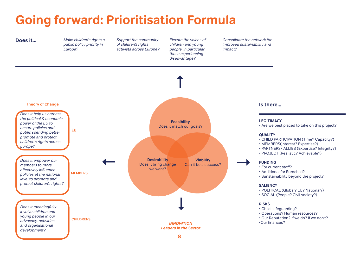# **Going forward: Prioritisation Formula**

**Does it...** Make children's rights a public policy priority in Europe?

Support the community of children's rights activists across Europe?

Elevate the voices of children and young people, in particular those experiencing disadvantage?

Consolidate the network for improved sustainability and impact?